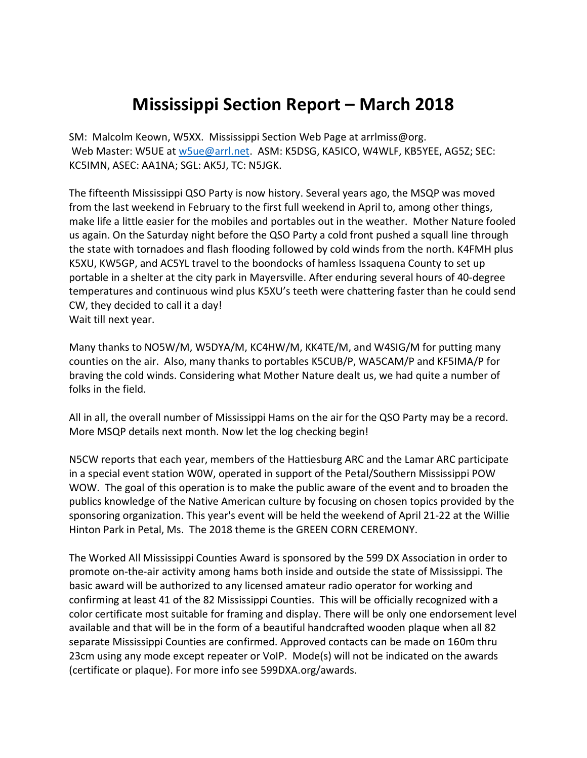## **Mississippi Section Report – March 2018**

SM: Malcolm Keown, W5XX. Mississippi Section Web Page at arrlmiss@org. Web Master: W5UE at [w5ue@arrl.net.](mailto:w5ue@arrl.net) ASM: K5DSG, KA5ICO, W4WLF, KB5YEE, AG5Z; SEC: KC5IMN, ASEC: AA1NA; SGL: AK5J, TC: N5JGK.

The fifteenth Mississippi QSO Party is now history. Several years ago, the MSQP was moved from the last weekend in February to the first full weekend in April to, among other things, make life a little easier for the mobiles and portables out in the weather. Mother Nature fooled us again. On the Saturday night before the QSO Party a cold front pushed a squall line through the state with tornadoes and flash flooding followed by cold winds from the north. K4FMH plus K5XU, KW5GP, and AC5YL travel to the boondocks of hamless Issaquena County to set up portable in a shelter at the city park in Mayersville. After enduring several hours of 40-degree temperatures and continuous wind plus K5XU's teeth were chattering faster than he could send CW, they decided to call it a day! Wait till next year.

Many thanks to NO5W/M, W5DYA/M, KC4HW/M, KK4TE/M, and W4SIG/M for putting many counties on the air. Also, many thanks to portables K5CUB/P, WA5CAM/P and KF5IMA/P for braving the cold winds. Considering what Mother Nature dealt us, we had quite a number of folks in the field.

All in all, the overall number of Mississippi Hams on the air for the QSO Party may be a record. More MSQP details next month. Now let the log checking begin!

N5CW reports that each year, members of the Hattiesburg ARC and the Lamar ARC participate in a special event station W0W, operated in support of the Petal/Southern Mississippi POW WOW. The goal of this operation is to make the public aware of the event and to broaden the publics knowledge of the Native American culture by focusing on chosen topics provided by the sponsoring organization. This year's event will be held the weekend of April 21-22 at the Willie Hinton Park in Petal, Ms. The 2018 theme is the GREEN CORN CEREMONY.

The Worked All Mississippi Counties Award is sponsored by the 599 DX Association in order to promote on-the-air activity among hams both inside and outside the state of Mississippi. The basic award will be authorized to any licensed amateur radio operator for working and confirming at least 41 of the 82 Mississippi Counties. This will be officially recognized with a color certificate most suitable for framing and display. There will be only one endorsement level available and that will be in the form of a beautiful handcrafted wooden plaque when all 82 separate Mississippi Counties are confirmed. Approved contacts can be made on 160m thru 23cm using any mode except repeater or VoIP. Mode(s) will not be indicated on the awards (certificate or plaque). For more info see 599DXA.org/awards.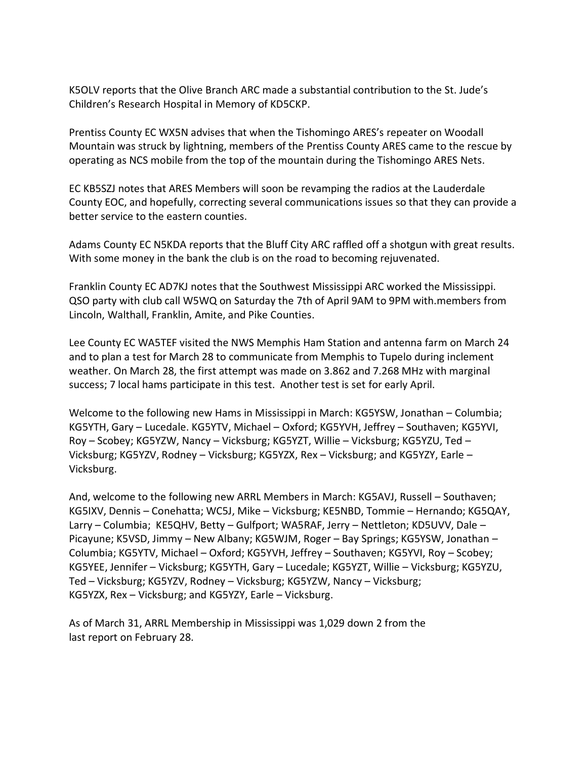K5OLV reports that the Olive Branch ARC made a substantial contribution to the St. Jude's Children's Research Hospital in Memory of KD5CKP.

Prentiss County EC WX5N advises that when the Tishomingo ARES's repeater on Woodall Mountain was struck by lightning, members of the Prentiss County ARES came to the rescue by operating as NCS mobile from the top of the mountain during the Tishomingo ARES Nets.

EC KB5SZJ notes that ARES Members will soon be revamping the radios at the Lauderdale County EOC, and hopefully, correcting several communications issues so that they can provide a better service to the eastern counties.

Adams County EC N5KDA reports that the Bluff City ARC raffled off a shotgun with great results. With some money in the bank the club is on the road to becoming rejuvenated.

Franklin County EC AD7KJ notes that the Southwest Mississippi ARC worked the Mississippi. QSO party with club call W5WQ on Saturday the 7th of April 9AM to 9PM with.members from Lincoln, Walthall, Franklin, Amite, and Pike Counties.

Lee County EC WA5TEF visited the NWS Memphis Ham Station and antenna farm on March 24 and to plan a test for March 28 to communicate from Memphis to Tupelo during inclement weather. On March 28, the first attempt was made on 3.862 and 7.268 MHz with marginal success; 7 local hams participate in this test. Another test is set for early April.

Welcome to the following new Hams in Mississippi in March: KG5YSW, Jonathan – Columbia; KG5YTH, Gary – Lucedale. KG5YTV, Michael – Oxford; KG5YVH, Jeffrey – Southaven; KG5YVI, Roy – Scobey; KG5YZW, Nancy – Vicksburg; KG5YZT, Willie – Vicksburg; KG5YZU, Ted – Vicksburg; KG5YZV, Rodney – Vicksburg; KG5YZX, Rex – Vicksburg; and KG5YZY, Earle – Vicksburg.

And, welcome to the following new ARRL Members in March: KG5AVJ, Russell – Southaven; KG5IXV, Dennis – Conehatta; WC5J, Mike – Vicksburg; KE5NBD, Tommie – Hernando; KG5QAY, Larry – Columbia; KE5QHV, Betty – Gulfport; WA5RAF, Jerry – Nettleton; KD5UVV, Dale – Picayune; K5VSD, Jimmy – New Albany; KG5WJM, Roger – Bay Springs; KG5YSW, Jonathan – Columbia; KG5YTV, Michael – Oxford; KG5YVH, Jeffrey – Southaven; KG5YVI, Roy – Scobey; KG5YEE, Jennifer – Vicksburg; KG5YTH, Gary – Lucedale; KG5YZT, Willie – Vicksburg; KG5YZU, Ted – Vicksburg; KG5YZV, Rodney – Vicksburg; KG5YZW, Nancy – Vicksburg; KG5YZX, Rex – Vicksburg; and KG5YZY, Earle – Vicksburg.

As of March 31, ARRL Membership in Mississippi was 1,029 down 2 from the last report on February 28.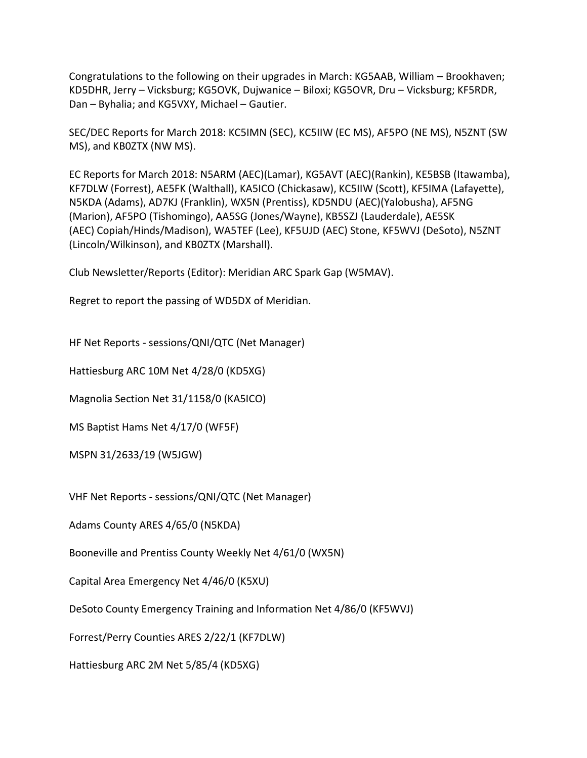Congratulations to the following on their upgrades in March: KG5AAB, William – Brookhaven; KD5DHR, Jerry – Vicksburg; KG5OVK, Dujwanice – Biloxi; KG5OVR, Dru – Vicksburg; KF5RDR, Dan – Byhalia; and KG5VXY, Michael – Gautier.

SEC/DEC Reports for March 2018: KC5IMN (SEC), KC5IIW (EC MS), AF5PO (NE MS), N5ZNT (SW MS), and KB0ZTX (NW MS).

EC Reports for March 2018: N5ARM (AEC)(Lamar), KG5AVT (AEC)(Rankin), KE5BSB (Itawamba), KF7DLW (Forrest), AE5FK (Walthall), KA5ICO (Chickasaw), KC5IIW (Scott), KF5IMA (Lafayette), N5KDA (Adams), AD7KJ (Franklin), WX5N (Prentiss), KD5NDU (AEC)(Yalobusha), AF5NG (Marion), AF5PO (Tishomingo), AA5SG (Jones/Wayne), KB5SZJ (Lauderdale), AE5SK (AEC) Copiah/Hinds/Madison), WA5TEF (Lee), KF5UJD (AEC) Stone, KF5WVJ (DeSoto), N5ZNT (Lincoln/Wilkinson), and KB0ZTX (Marshall).

Club Newsletter/Reports (Editor): Meridian ARC Spark Gap (W5MAV).

Regret to report the passing of WD5DX of Meridian.

HF Net Reports - sessions/QNI/QTC (Net Manager)

Hattiesburg ARC 10M Net 4/28/0 (KD5XG)

Magnolia Section Net 31/1158/0 (KA5ICO)

MS Baptist Hams Net 4/17/0 (WF5F)

MSPN 31/2633/19 (W5JGW)

VHF Net Reports - sessions/QNI/QTC (Net Manager)

Adams County ARES 4/65/0 (N5KDA)

Booneville and Prentiss County Weekly Net 4/61/0 (WX5N)

Capital Area Emergency Net 4/46/0 (K5XU)

DeSoto County Emergency Training and Information Net 4/86/0 (KF5WVJ)

Forrest/Perry Counties ARES 2/22/1 (KF7DLW)

Hattiesburg ARC 2M Net 5/85/4 (KD5XG)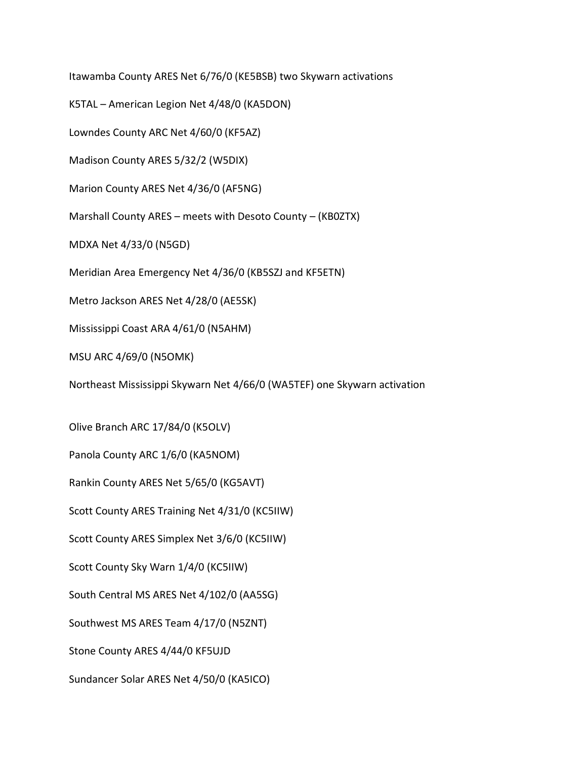Itawamba County ARES Net 6/76/0 (KE5BSB) two Skywarn activations

K5TAL – American Legion Net 4/48/0 (KA5DON)

Lowndes County ARC Net 4/60/0 (KF5AZ)

Madison County ARES 5/32/2 (W5DIX)

Marion County ARES Net 4/36/0 (AF5NG)

Marshall County ARES – meets with Desoto County – (KB0ZTX)

MDXA Net 4/33/0 (N5GD)

Meridian Area Emergency Net 4/36/0 (KB5SZJ and KF5ETN)

Metro Jackson ARES Net 4/28/0 (AE5SK)

Mississippi Coast ARA 4/61/0 (N5AHM)

MSU ARC 4/69/0 (N5OMK)

Northeast Mississippi Skywarn Net 4/66/0 (WA5TEF) one Skywarn activation

Olive Branch ARC 17/84/0 (K5OLV)

Panola County ARC 1/6/0 (KA5NOM)

Rankin County ARES Net 5/65/0 (KG5AVT)

Scott County ARES Training Net 4/31/0 (KC5IIW)

Scott County ARES Simplex Net 3/6/0 (KC5IIW)

Scott County Sky Warn 1/4/0 (KC5IIW)

South Central MS ARES Net 4/102/0 (AA5SG)

Southwest MS ARES Team 4/17/0 (N5ZNT)

Stone County ARES 4/44/0 KF5UJD

Sundancer Solar ARES Net 4/50/0 (KA5ICO)